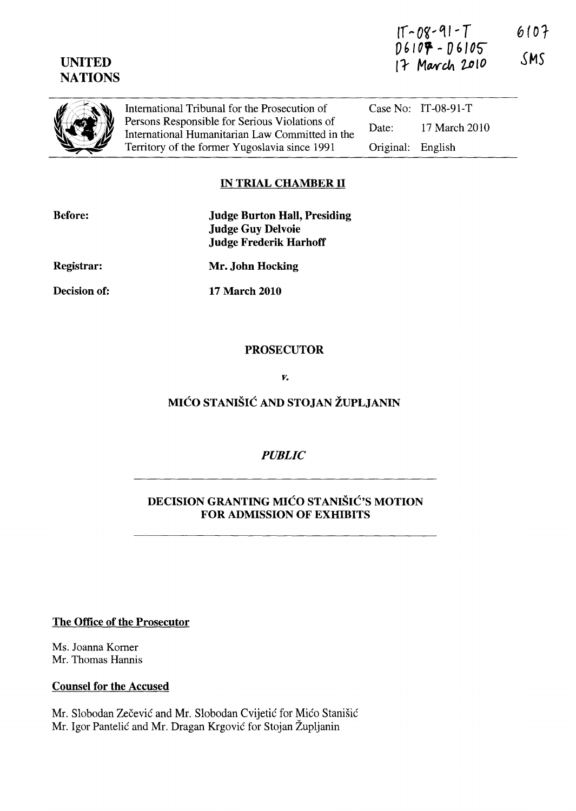| <b>UNITED</b><br><b>NATIONS</b> |                                                                                                  |           | $06107 - 06105$<br>17 March 2010 | <b>VIV</b><br>SMS. |
|---------------------------------|--------------------------------------------------------------------------------------------------|-----------|----------------------------------|--------------------|
|                                 | International Tribunal for the Prosecution of                                                    |           | Case No: $IT-08-91-T$            |                    |
|                                 | Persons Responsible for Serious Violations of<br>International Humanitarian Law Committed in the | Date:     | 17 March 2010                    |                    |
|                                 | Territory of the former Yugoslavia since 1991                                                    | Original: | English                          |                    |

 $15-09-91-7$ 

 $6107$ 

### **IN TRIAL CHAMBER II**

| <b>Before:</b>      | <b>Judge Burton Hall, Presiding</b><br><b>Judge Guy Delvoie</b><br><b>Judge Frederik Harhoff</b> |
|---------------------|--------------------------------------------------------------------------------------------------|
| <b>Registrar:</b>   | Mr. John Hocking                                                                                 |
| <b>Decision of:</b> | <b>17 March 2010</b>                                                                             |
|                     |                                                                                                  |

### **PROSECUTOR**

*v.* 

# MIĆO STANIŠIĆ **AND STOJAN ŽUPLJANIN**

## *PUBLIC*

## **DECISION GRANTING** MIĆO STANIŠIĆ'S **MOTION FOR ADMISSION OF EXHIBITS**

**The Office of the Prosecutor** 

Ms. Joanna Komer Mr. Thomas Hannis

**Counsel for the Accused** 

Mr. Slobodan Zečević and Mr. Slobodan Cvijetić for Mićo Stanišić Mr. Igor Pantelić and Mr. Dragan Krgović for Stojan Župljanin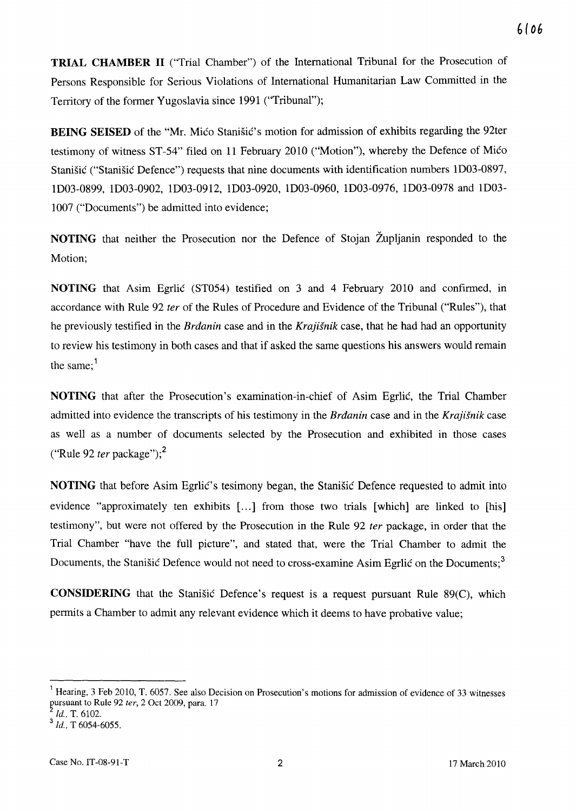**TRIAL CHAMBER II** ("Trial Chamber") of the International Tribunal for the Prosecution of Persons Responsible for Serious Violations of International Humanitarian Law Committed in the Territory of the former Yugoslavia since 1991 ("Tribunal");

**BEING SEISED** of the "Mr. Mićo Stanišić's motion for admission of exhibits regarding the 92ter testimony of witness ST-54" filed on 11 February 2010 ("Motion"), whereby the Defence of Mićo Stanišić ("Stanišić Defence") requests that nine documents with identification numbers lD03-0897, lD03-0899, ID03-0902, lD03-0912, lD03-0920, lD03-0960, lD03-0976, lD03-0978 and lD03- 1007 ("Documents") be admitted into evidence;

**NOTING** that neither the Prosecution nor the Defence of Stojan Župljanin responded to the Motion;

**NOTING** that Asim Egrlić (ST054) testified on 3 and 4 February 2010 and confirmed, in accordance with Rule 92 *ter* of the Rules of Procedure and Evidence of the Tribunal ("Rules"), that he previously testified in the Brđanin case and in the *Krajišnik* case, that he had had an opportunity to review his testimony in both cases and that if asked the same questions his answers would remain the same: $<sup>1</sup>$ </sup>

**NOTING** that after the Prosecution's examination-in-chief of Asim Egrlić, the Trial Chamber admitted into evidence the transcripts of his testimony in the Brđanin case and in the *Krajišnik* case as well as a number of documents selected by the Prosecution and exhibited in those cases ("Rule 92 *ter* package");<sup>2</sup>

**NOTING** that before Asim Egrlić's tesimony began, the Stanišić Defence requested to admit into evidence "approximately ten exhibits [...] from those two trials [which] are linked to [his] testimony", but were not offered by the Prosecution in the Rule 92 *ter* package, in order that the Trial Chamber "have the full picture", and stated that, were the Trial Chamber to admit the Documents, the Stanišić Defence would not need to cross-examine Asim Egrlić on the Documents;<sup>3</sup>

**CONSIDERING** that the Stanišić Defence's request is a request pursuant Rule 89(C), which permits a Chamber to admit any relevant evidence which it deems to have probative value;

<sup>&</sup>lt;sup>1</sup> Hearing, 3 Feb 2010, T. 6057. See also Decision on Prosecution's motions for admission of evidence of 33 witnesses ~ursuant to Rule 92 *ter,* 2 Oct 2009, para. 17

*Id.,* T. 6102.

<sup>3</sup> *Id.,* T 6054-6055.